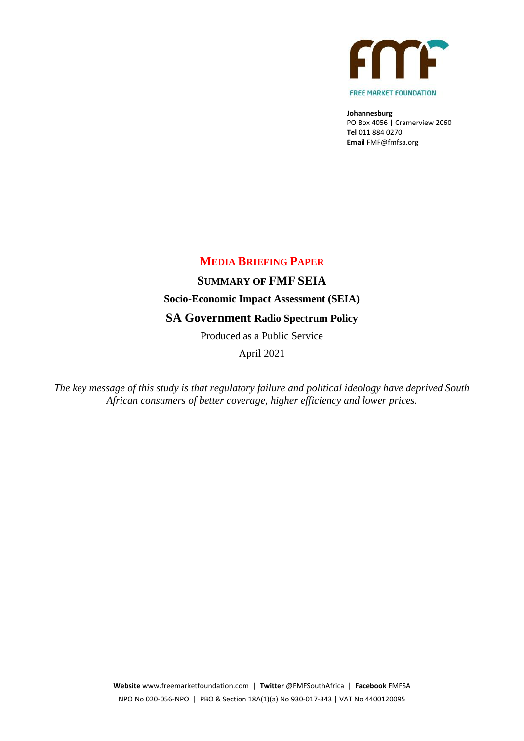

**Johannesburg** PO Box 4056 | Cramerview 2060 **Tel** 011 884 0270 **Email** FMF@fmfsa.org

## **MEDIA BRIEFING PAPER**

# **SUMMARY OF FMF SEIA Socio-Economic Impact Assessment (SEIA) SA Government Radio Spectrum Policy**

Produced as a Public Service

April 2021

*The key message of this study is that regulatory failure and political ideology have deprived South African consumers of better coverage, higher efficiency and lower prices.*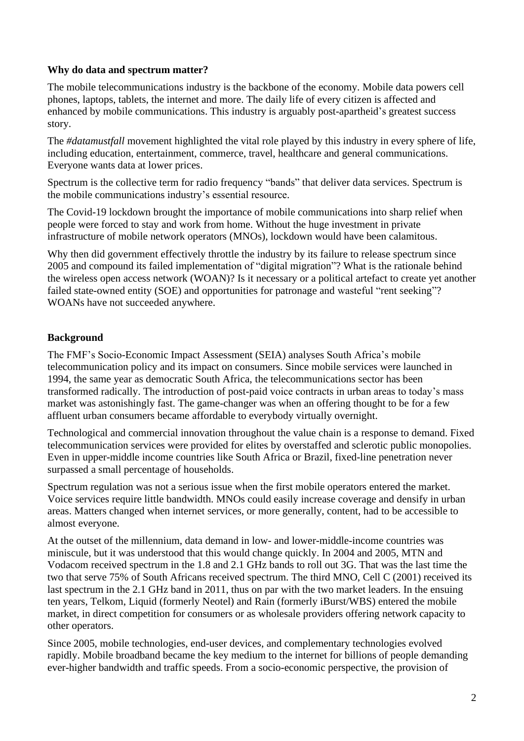### **Why do data and spectrum matter?**

The mobile telecommunications industry is the backbone of the economy. Mobile data powers cell phones, laptops, tablets, the internet and more. The daily life of every citizen is affected and enhanced by mobile communications. This industry is arguably post-apartheid's greatest success story.

The *#datamustfall* movement highlighted the vital role played by this industry in every sphere of life, including education, entertainment, commerce, travel, healthcare and general communications. Everyone wants data at lower prices.

Spectrum is the collective term for radio frequency "bands" that deliver data services. Spectrum is the mobile communications industry's essential resource.

The Covid-19 lockdown brought the importance of mobile communications into sharp relief when people were forced to stay and work from home. Without the huge investment in private infrastructure of mobile network operators (MNOs), lockdown would have been calamitous.

Why then did government effectively throttle the industry by its failure to release spectrum since 2005 and compound its failed implementation of "digital migration"? What is the rationale behind the wireless open access network (WOAN)? Is it necessary or a political artefact to create yet another failed state-owned entity (SOE) and opportunities for patronage and wasteful "rent seeking"? WOANs have not succeeded anywhere.

## **Background**

The FMF's Socio-Economic Impact Assessment (SEIA) analyses South Africa's mobile telecommunication policy and its impact on consumers. Since mobile services were launched in 1994, the same year as democratic South Africa, the telecommunications sector has been transformed radically. The introduction of post-paid voice contracts in urban areas to today's mass market was astonishingly fast. The game-changer was when an offering thought to be for a few affluent urban consumers became affordable to everybody virtually overnight.

Technological and commercial innovation throughout the value chain is a response to demand. Fixed telecommunication services were provided for elites by overstaffed and sclerotic public monopolies. Even in upper-middle income countries like South Africa or Brazil, fixed-line penetration never surpassed a small percentage of households.

Spectrum regulation was not a serious issue when the first mobile operators entered the market. Voice services require little bandwidth. MNOs could easily increase coverage and densify in urban areas. Matters changed when internet services, or more generally, content, had to be accessible to almost everyone.

At the outset of the millennium, data demand in low- and lower-middle-income countries was miniscule, but it was understood that this would change quickly. In 2004 and 2005, MTN and Vodacom received spectrum in the 1.8 and 2.1 GHz bands to roll out 3G. That was the last time the two that serve 75% of South Africans received spectrum. The third MNO, Cell C (2001) received its last spectrum in the 2.1 GHz band in 2011, thus on par with the two market leaders. In the ensuing ten years, Telkom, Liquid (formerly Neotel) and Rain (formerly iBurst/WBS) entered the mobile market, in direct competition for consumers or as wholesale providers offering network capacity to other operators.

Since 2005, mobile technologies, end-user devices, and complementary technologies evolved rapidly. Mobile broadband became the key medium to the internet for billions of people demanding ever-higher bandwidth and traffic speeds. From a socio-economic perspective, the provision of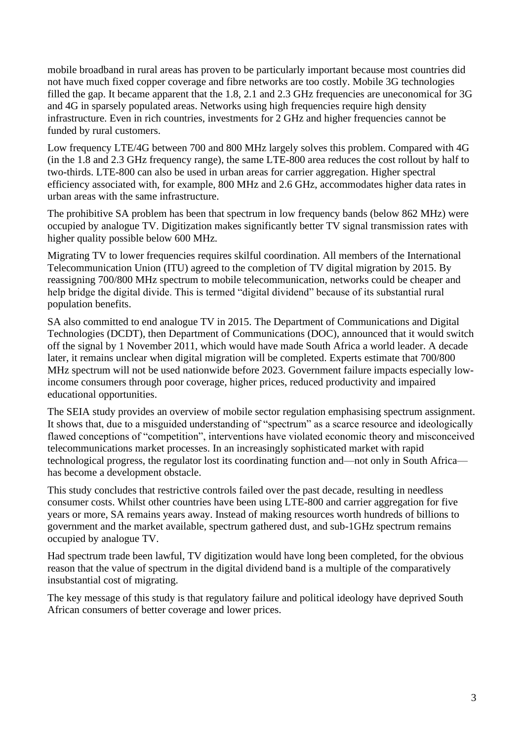mobile broadband in rural areas has proven to be particularly important because most countries did not have much fixed copper coverage and fibre networks are too costly. Mobile 3G technologies filled the gap. It became apparent that the 1.8, 2.1 and 2.3 GHz frequencies are uneconomical for 3G and 4G in sparsely populated areas. Networks using high frequencies require high density infrastructure. Even in rich countries, investments for 2 GHz and higher frequencies cannot be funded by rural customers.

Low frequency LTE/4G between 700 and 800 MHz largely solves this problem. Compared with 4G (in the 1.8 and 2.3 GHz frequency range), the same LTE-800 area reduces the cost rollout by half to two-thirds. LTE-800 can also be used in urban areas for carrier aggregation. Higher spectral efficiency associated with, for example, 800 MHz and 2.6 GHz, accommodates higher data rates in urban areas with the same infrastructure.

The prohibitive SA problem has been that spectrum in low frequency bands (below 862 MHz) were occupied by analogue TV. Digitization makes significantly better TV signal transmission rates with higher quality possible below 600 MHz.

Migrating TV to lower frequencies requires skilful coordination. All members of the International Telecommunication Union (ITU) agreed to the completion of TV digital migration by 2015. By reassigning 700/800 MHz spectrum to mobile telecommunication, networks could be cheaper and help bridge the digital divide. This is termed "digital dividend" because of its substantial rural population benefits.

SA also committed to end analogue TV in 2015. The Department of Communications and Digital Technologies (DCDT), then Department of Communications (DOC), announced that it would switch off the signal by 1 November 2011, which would have made South Africa a world leader. A decade later, it remains unclear when digital migration will be completed. Experts estimate that 700/800 MHz spectrum will not be used nationwide before 2023. Government failure impacts especially lowincome consumers through poor coverage, higher prices, reduced productivity and impaired educational opportunities.

The SEIA study provides an overview of mobile sector regulation emphasising spectrum assignment. It shows that, due to a misguided understanding of "spectrum" as a scarce resource and ideologically flawed conceptions of "competition", interventions have violated economic theory and misconceived telecommunications market processes. In an increasingly sophisticated market with rapid technological progress, the regulator lost its coordinating function and—not only in South Africa has become a development obstacle.

This study concludes that restrictive controls failed over the past decade, resulting in needless consumer costs. Whilst other countries have been using LTE-800 and carrier aggregation for five years or more, SA remains years away. Instead of making resources worth hundreds of billions to government and the market available, spectrum gathered dust, and sub-1GHz spectrum remains occupied by analogue TV.

Had spectrum trade been lawful, TV digitization would have long been completed, for the obvious reason that the value of spectrum in the digital dividend band is a multiple of the comparatively insubstantial cost of migrating.

The key message of this study is that regulatory failure and political ideology have deprived South African consumers of better coverage and lower prices.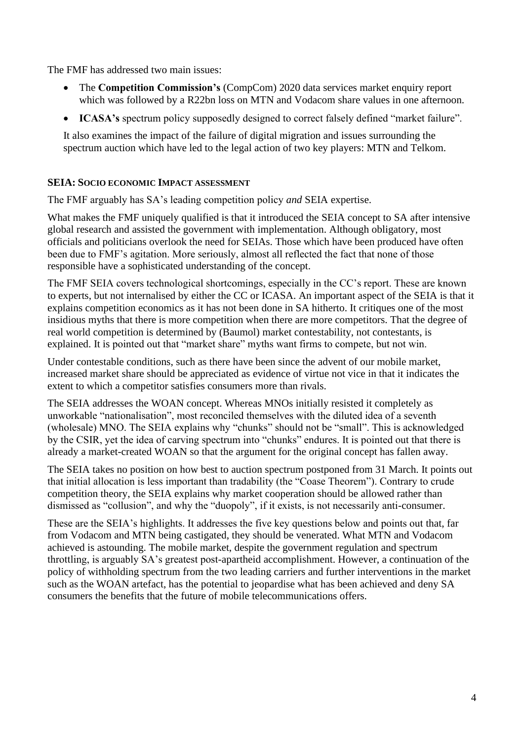The FMF has addressed two main issues:

- The **Competition Commission's** (CompCom) 2020 data services market enquiry report which was followed by a R22bn loss on MTN and Vodacom share values in one afternoon.
- **ICASA's** spectrum policy supposedly designed to correct falsely defined "market failure".

It also examines the impact of the failure of digital migration and issues surrounding the spectrum auction which have led to the legal action of two key players: MTN and Telkom.

#### **SEIA: SOCIO ECONOMIC IMPACT ASSESSMENT**

The FMF arguably has SA's leading competition policy *and* SEIA expertise.

What makes the FMF uniquely qualified is that it introduced the SEIA concept to SA after intensive global research and assisted the government with implementation. Although obligatory, most officials and politicians overlook the need for SEIAs. Those which have been produced have often been due to FMF's agitation. More seriously, almost all reflected the fact that none of those responsible have a sophisticated understanding of the concept.

The FMF SEIA covers technological shortcomings, especially in the CC's report. These are known to experts, but not internalised by either the CC or ICASA. An important aspect of the SEIA is that it explains competition economics as it has not been done in SA hitherto. It critiques one of the most insidious myths that there is more competition when there are more competitors. That the degree of real world competition is determined by (Baumol) market contestability, not contestants, is explained. It is pointed out that "market share" myths want firms to compete, but not win.

Under contestable conditions, such as there have been since the advent of our mobile market, increased market share should be appreciated as evidence of virtue not vice in that it indicates the extent to which a competitor satisfies consumers more than rivals.

The SEIA addresses the WOAN concept. Whereas MNOs initially resisted it completely as unworkable "nationalisation", most reconciled themselves with the diluted idea of a seventh (wholesale) MNO. The SEIA explains why "chunks" should not be "small". This is acknowledged by the CSIR, yet the idea of carving spectrum into "chunks" endures. It is pointed out that there is already a market-created WOAN so that the argument for the original concept has fallen away.

The SEIA takes no position on how best to auction spectrum postponed from 31 March. It points out that initial allocation is less important than tradability (the "Coase Theorem"). Contrary to crude competition theory, the SEIA explains why market cooperation should be allowed rather than dismissed as "collusion", and why the "duopoly", if it exists, is not necessarily anti-consumer.

These are the SEIA's highlights. It addresses the five key questions below and points out that, far from Vodacom and MTN being castigated, they should be venerated. What MTN and Vodacom achieved is astounding. The mobile market, despite the government regulation and spectrum throttling, is arguably SA's greatest post-apartheid accomplishment. However, a continuation of the policy of withholding spectrum from the two leading carriers and further interventions in the market such as the WOAN artefact, has the potential to jeopardise what has been achieved and deny SA consumers the benefits that the future of mobile telecommunications offers.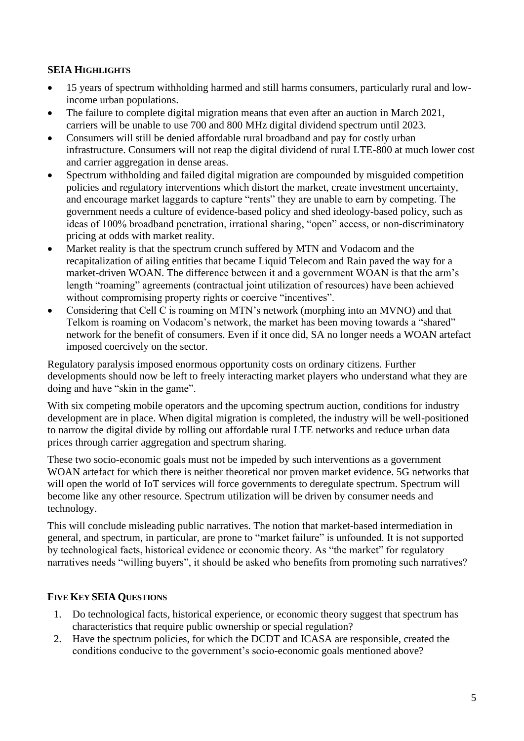## **SEIA HIGHLIGHTS**

- 15 years of spectrum withholding harmed and still harms consumers, particularly rural and lowincome urban populations.
- The failure to complete digital migration means that even after an auction in March 2021, carriers will be unable to use 700 and 800 MHz digital dividend spectrum until 2023.
- Consumers will still be denied affordable rural broadband and pay for costly urban infrastructure. Consumers will not reap the digital dividend of rural LTE-800 at much lower cost and carrier aggregation in dense areas.
- Spectrum withholding and failed digital migration are compounded by misguided competition policies and regulatory interventions which distort the market, create investment uncertainty, and encourage market laggards to capture "rents" they are unable to earn by competing. The government needs a culture of evidence-based policy and shed ideology-based policy, such as ideas of 100% broadband penetration, irrational sharing, "open" access, or non-discriminatory pricing at odds with market reality.
- Market reality is that the spectrum crunch suffered by MTN and Vodacom and the recapitalization of ailing entities that became Liquid Telecom and Rain paved the way for a market-driven WOAN. The difference between it and a government WOAN is that the arm's length "roaming" agreements (contractual joint utilization of resources) have been achieved without compromising property rights or coercive "incentives".
- Considering that Cell C is roaming on MTN's network (morphing into an MVNO) and that Telkom is roaming on Vodacom's network, the market has been moving towards a "shared" network for the benefit of consumers. Even if it once did, SA no longer needs a WOAN artefact imposed coercively on the sector.

Regulatory paralysis imposed enormous opportunity costs on ordinary citizens. Further developments should now be left to freely interacting market players who understand what they are doing and have "skin in the game".

With six competing mobile operators and the upcoming spectrum auction, conditions for industry development are in place. When digital migration is completed, the industry will be well-positioned to narrow the digital divide by rolling out affordable rural LTE networks and reduce urban data prices through carrier aggregation and spectrum sharing.

These two socio-economic goals must not be impeded by such interventions as a government WOAN artefact for which there is neither theoretical nor proven market evidence. 5G networks that will open the world of IoT services will force governments to deregulate spectrum. Spectrum will become like any other resource. Spectrum utilization will be driven by consumer needs and technology.

This will conclude misleading public narratives. The notion that market-based intermediation in general, and spectrum, in particular, are prone to "market failure" is unfounded. It is not supported by technological facts, historical evidence or economic theory. As "the market" for regulatory narratives needs "willing buyers", it should be asked who benefits from promoting such narratives?

## **FIVE KEY SEIA QUESTIONS**

- 1. Do technological facts, historical experience, or economic theory suggest that spectrum has characteristics that require public ownership or special regulation?
- 2. Have the spectrum policies, for which the DCDT and ICASA are responsible, created the conditions conducive to the government's socio-economic goals mentioned above?